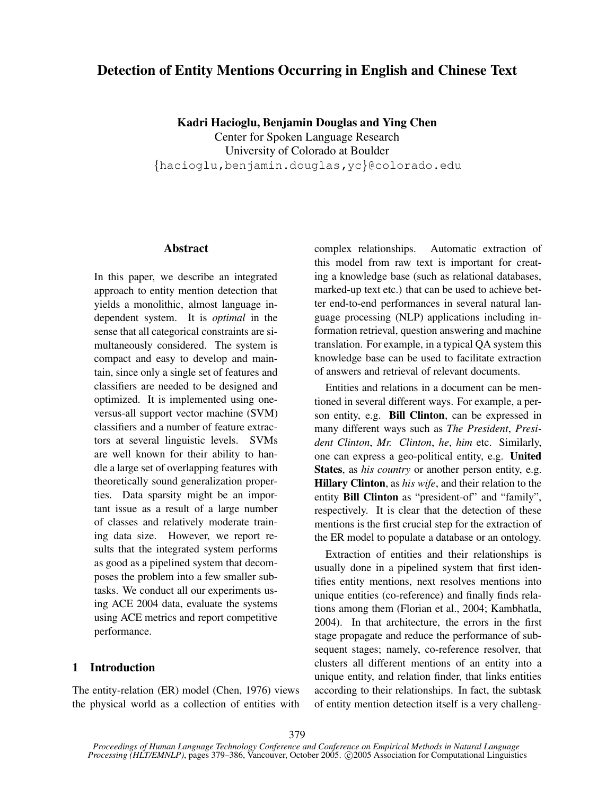# **Detection of Entity Mentions Occurring in English and Chinese Text**

**Kadri Hacioglu, Benjamin Douglas and Ying Chen** Center for Spoken Language Research University of Colorado at Boulder {hacioglu,benjamin.douglas,yc}@colorado.edu

### **Abstract**

In this paper, we describe an integrated approach to entity mention detection that yields a monolithic, almost language independent system. It is *optimal* in the sense that all categorical constraints are simultaneously considered. The system is compact and easy to develop and maintain, since only a single set of features and classifiers are needed to be designed and optimized. It is implemented using oneversus-all support vector machine (SVM) classifiers and a number of feature extractors at several linguistic levels. SVMs are well known for their ability to handle a large set of overlapping features with theoretically sound generalization properties. Data sparsity might be an important issue as a result of a large number of classes and relatively moderate training data size. However, we report results that the integrated system performs as good as a pipelined system that decomposes the problem into a few smaller subtasks. We conduct all our experiments using ACE 2004 data, evaluate the systems using ACE metrics and report competitive performance.

### **1 Introduction**

The entity-relation (ER) model (Chen, 1976) views the physical world as a collection of entities with complex relationships. Automatic extraction of this model from raw text is important for creating a knowledge base (such as relational databases, marked-up text etc.) that can be used to achieve better end-to-end performances in several natural language processing (NLP) applications including information retrieval, question answering and machine translation. For example, in a typical QA system this knowledge base can be used to facilitate extraction of answers and retrieval of relevant documents.

Entities and relations in a document can be mentioned in several different ways. For example, a person entity, e.g. **Bill Clinton**, can be expressed in many different ways such as *The President*, *President Clinton*, *Mr. Clinton*, *he*, *him* etc. Similarly, one can express a geo-political entity, e.g. **United States**, as *his country* or another person entity, e.g. **Hillary Clinton**, as *his wife*, and their relation to the entity **Bill Clinton** as "president-of" and "family", respectively. It is clear that the detection of these mentions is the first crucial step for the extraction of the ER model to populate a database or an ontology.

Extraction of entities and their relationships is usually done in a pipelined system that first identifies entity mentions, next resolves mentions into unique entities (co-reference) and finally finds relations among them (Florian et al., 2004; Kambhatla, 2004). In that architecture, the errors in the first stage propagate and reduce the performance of subsequent stages; namely, co-reference resolver, that clusters all different mentions of an entity into a unique entity, and relation finder, that links entities according to their relationships. In fact, the subtask of entity mention detection itself is a very challeng-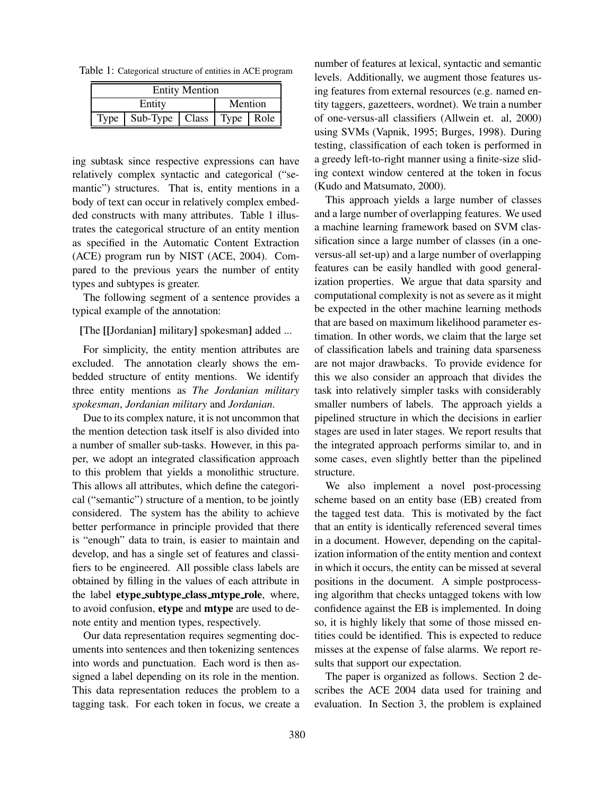Table 1: Categorical structure of entities in ACE program

| <b>Entity Mention</b>      |  |           |         |  |
|----------------------------|--|-----------|---------|--|
| Entity                     |  |           | Mention |  |
| $Sub-Type$ $Class$<br>Type |  | Type Role |         |  |

ing subtask since respective expressions can have relatively complex syntactic and categorical ("semantic") structures. That is, entity mentions in a body of text can occur in relatively complex embedded constructs with many attributes. Table 1 illustrates the categorical structure of an entity mention as specified in the Automatic Content Extraction (ACE) program run by NIST (ACE, 2004). Compared to the previous years the number of entity types and subtypes is greater.

The following segment of a sentence provides a typical example of the annotation:

**[**The **[[**Jordanian**]** military**]** spokesman**]** added ...

For simplicity, the entity mention attributes are excluded. The annotation clearly shows the embedded structure of entity mentions. We identify three entity mentions as *The Jordanian military spokesman*, *Jordanian military* and *Jordanian*.

Due to its complex nature, it is not uncommon that the mention detection task itself is also divided into a number of smaller sub-tasks. However, in this paper, we adopt an integrated classification approach to this problem that yields a monolithic structure. This allows all attributes, which define the categorical ("semantic") structure of a mention, to be jointly considered. The system has the ability to achieve better performance in principle provided that there is "enough" data to train, is easier to maintain and develop, and has a single set of features and classifiers to be engineered. All possible class labels are obtained by filling in the values of each attribute in the label **etype subtype class mtype role**, where, to avoid confusion, **etype** and **mtype** are used to denote entity and mention types, respectively.

Our data representation requires segmenting documents into sentences and then tokenizing sentences into words and punctuation. Each word is then assigned a label depending on its role in the mention. This data representation reduces the problem to a tagging task. For each token in focus, we create a number of features at lexical, syntactic and semantic levels. Additionally, we augment those features using features from external resources (e.g. named entity taggers, gazetteers, wordnet). We train a number of one-versus-all classifiers (Allwein et. al, 2000) using SVMs (Vapnik, 1995; Burges, 1998). During testing, classification of each token is performed in a greedy left-to-right manner using a finite-size sliding context window centered at the token in focus (Kudo and Matsumato, 2000).

This approach yields a large number of classes and a large number of overlapping features. We used a machine learning framework based on SVM classification since a large number of classes (in a oneversus-all set-up) and a large number of overlapping features can be easily handled with good generalization properties. We argue that data sparsity and computational complexity is not as severe as it might be expected in the other machine learning methods that are based on maximum likelihood parameter estimation. In other words, we claim that the large set of classification labels and training data sparseness are not major drawbacks. To provide evidence for this we also consider an approach that divides the task into relatively simpler tasks with considerably smaller numbers of labels. The approach yields a pipelined structure in which the decisions in earlier stages are used in later stages. We report results that the integrated approach performs similar to, and in some cases, even slightly better than the pipelined structure.

We also implement a novel post-processing scheme based on an entity base (EB) created from the tagged test data. This is motivated by the fact that an entity is identically referenced several times in a document. However, depending on the capitalization information of the entity mention and context in which it occurs, the entity can be missed at several positions in the document. A simple postprocessing algorithm that checks untagged tokens with low confidence against the EB is implemented. In doing so, it is highly likely that some of those missed entities could be identified. This is expected to reduce misses at the expense of false alarms. We report results that support our expectation.

The paper is organized as follows. Section 2 describes the ACE 2004 data used for training and evaluation. In Section 3, the problem is explained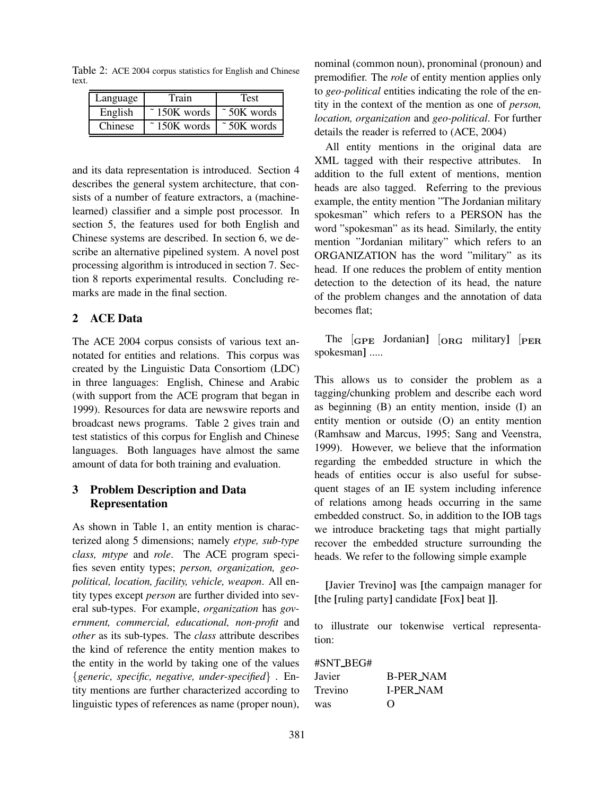Table 2: ACE 2004 corpus statistics for English and Chinese text.

| Language | Train                            | Test                            |
|----------|----------------------------------|---------------------------------|
| English  | $\tilde{\phantom{1}}$ 150K words | $\tilde{\phantom{a}}$ 50K words |
| Chinese  | $\tilde{\phantom{1}}$ 150K words | $\tilde{\phantom{a}}$ 50K words |

and its data representation is introduced. Section 4 describes the general system architecture, that consists of a number of feature extractors, a (machinelearned) classifier and a simple post processor. In section 5, the features used for both English and Chinese systems are described. In section 6, we describe an alternative pipelined system. A novel post processing algorithm is introduced in section 7. Section 8 reports experimental results. Concluding remarks are made in the final section.

### **2 ACE Data**

The ACE 2004 corpus consists of various text annotated for entities and relations. This corpus was created by the Linguistic Data Consortiom (LDC) in three languages: English, Chinese and Arabic (with support from the ACE program that began in 1999). Resources for data are newswire reports and broadcast news programs. Table 2 gives train and test statistics of this corpus for English and Chinese languages. Both languages have almost the same amount of data for both training and evaluation.

### **3 Problem Description and Data Representation**

As shown in Table 1, an entity mention is characterized along 5 dimensions; namely *etype, sub-type class, mtype* and *role*. The ACE program specifies seven entity types; *person, organization, geopolitical, location, facility, vehicle, weapon*. All entity types except *person* are further divided into several sub-types. For example, *organization* has *government, commercial, educational, non-profit* and *other* as its sub-types. The *class* attribute describes the kind of reference the entity mention makes to the entity in the world by taking one of the values {*generic, specific, negative, under-specified*} . Entity mentions are further characterized according to linguistic types of references as name (proper noun), nominal (common noun), pronominal (pronoun) and premodifier. The *role* of entity mention applies only to *geo-political* entities indicating the role of the entity in the context of the mention as one of *person, location, organization* and *geo-political*. For further details the reader is referred to (ACE, 2004)

All entity mentions in the original data are XML tagged with their respective attributes. In addition to the full extent of mentions, mention heads are also tagged. Referring to the previous example, the entity mention "The Jordanian military spokesman" which refers to a PERSON has the word "spokesman" as its head. Similarly, the entity mention "Jordanian military" which refers to an ORGANIZATION has the word "military" as its head. If one reduces the problem of entity mention detection to the detection of its head, the nature of the problem changes and the annotation of data becomes flat;

The  $GPE$  Jordanian<sup>]</sup>  $[ORG$  military<sup>]</sup>  $[PER$ spokesman**]** .....

This allows us to consider the problem as a tagging/chunking problem and describe each word as beginning (B) an entity mention, inside (I) an entity mention or outside (O) an entity mention (Ramhsaw and Marcus, 1995; Sang and Veenstra, 1999). However, we believe that the information regarding the embedded structure in which the heads of entities occur is also useful for subsequent stages of an IE system including inference of relations among heads occurring in the same embedded construct. So, in addition to the IOB tags we introduce bracketing tags that might partially recover the embedded structure surrounding the heads. We refer to the following simple example

**[**Javier Trevino**]** was **[**the campaign manager for **[**the **[**ruling party**]** candidate **[**Fox**]** beat **]]**.

to illustrate our tokenwise vertical representation:

#SNT BEG#

| Javier  | <b>B-PER_NAM</b> |
|---------|------------------|
| Trevino | <b>I-PER_NAM</b> |
| was     | $\Omega$         |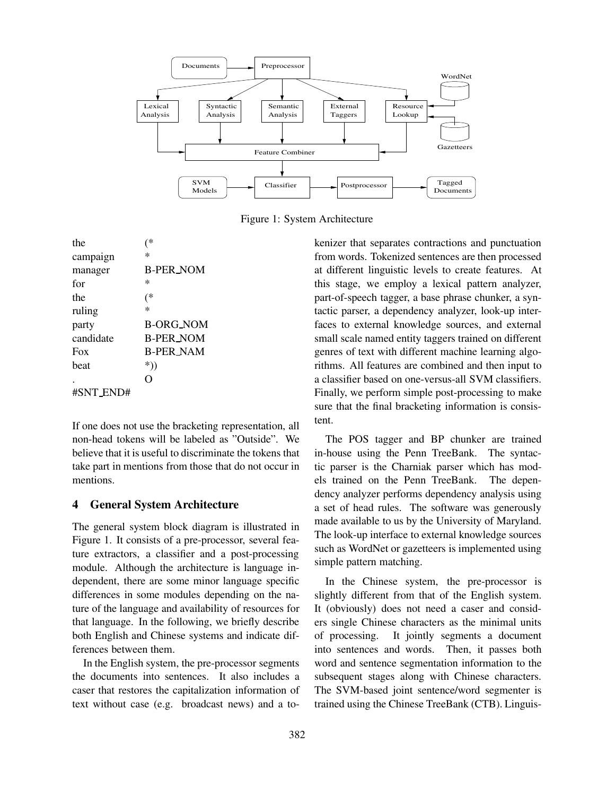

Figure 1: System Architecture

the (\* campaign \* manager B-PER NOM for  $*$ the (\* ruling \* party B-ORG NOM candidate B-PER NOM Fox B-PER NAM beat  $*$ )  $\sim$  0 #SNT END#

If one does not use the bracketing representation, all non-head tokens will be labeled as "Outside". We believe that it is useful to discriminate the tokens that take part in mentions from those that do not occur in mentions.

### **4 General System Architecture**

The general system block diagram is illustrated in Figure 1. It consists of a pre-processor, several feature extractors, a classifier and a post-processing module. Although the architecture is language independent, there are some minor language specific differences in some modules depending on the nature of the language and availability of resources for that language. In the following, we briefly describe both English and Chinese systems and indicate differences between them.

In the English system, the pre-processor segments the documents into sentences. It also includes a caser that restores the capitalization information of text without case (e.g. broadcast news) and a tokenizer that separates contractions and punctuation from words. Tokenized sentences are then processed at different linguistic levels to create features. At this stage, we employ a lexical pattern analyzer, part-of-speech tagger, a base phrase chunker, a syntactic parser, a dependency analyzer, look-up interfaces to external knowledge sources, and external small scale named entity taggers trained on different genres of text with different machine learning algorithms. All features are combined and then input to a classifier based on one-versus-all SVM classifiers. Finally, we perform simple post-processing to make sure that the final bracketing information is consistent.

The POS tagger and BP chunker are trained in-house using the Penn TreeBank. The syntactic parser is the Charniak parser which has models trained on the Penn TreeBank. The dependency analyzer performs dependency analysis using a set of head rules. The software was generously made available to us by the University of Maryland. The look-up interface to external knowledge sources such as WordNet or gazetteers is implemented using simple pattern matching.

In the Chinese system, the pre-processor is slightly different from that of the English system. It (obviously) does not need a caser and considers single Chinese characters as the minimal units of processing. It jointly segments a document into sentences and words. Then, it passes both word and sentence segmentation information to the subsequent stages along with Chinese characters. The SVM-based joint sentence/word segmenter is trained using the Chinese TreeBank (CTB). Linguis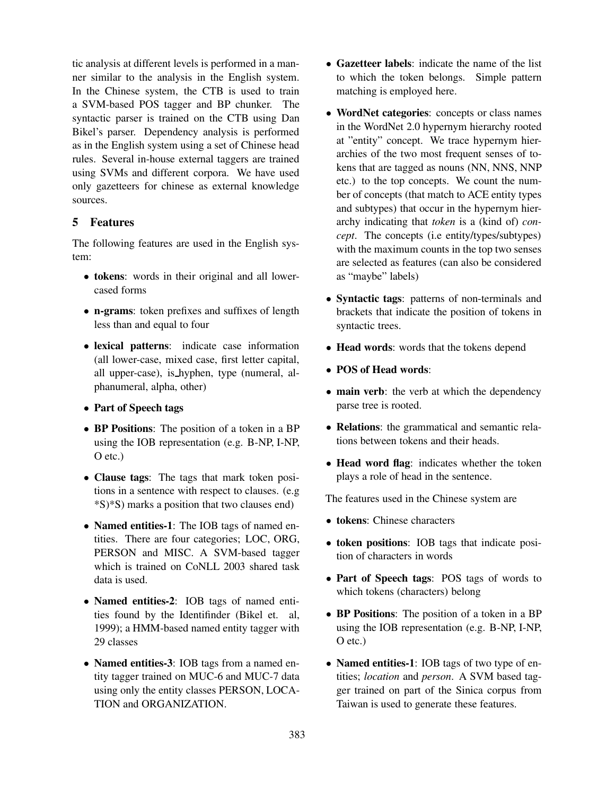tic analysis at different levels is performed in a manner similar to the analysis in the English system. In the Chinese system, the CTB is used to train a SVM-based POS tagger and BP chunker. The syntactic parser is trained on the CTB using Dan Bikel's parser. Dependency analysis is performed as in the English system using a set of Chinese head rules. Several in-house external taggers are trained using SVMs and different corpora. We have used only gazetteers for chinese as external knowledge sources.

## **5 Features**

The following features are used in the English system:

- **tokens**: words in their original and all lowercased forms
- **n-grams**: token prefixes and suffixes of length less than and equal to four
- **lexical patterns**: indicate case information (all lower-case, mixed case, first letter capital, all upper-case), is hyphen, type (numeral, alphanumeral, alpha, other)
- **Part of Speech tags**
- **BP Positions**: The position of a token in a BP using the IOB representation (e.g. B-NP, I-NP, O etc.)
- **Clause tags**: The tags that mark token positions in a sentence with respect to clauses. (e.g \*S)\*S) marks a position that two clauses end)
- **Named entities-1**: The IOB tags of named entities. There are four categories; LOC, ORG, PERSON and MISC. A SVM-based tagger which is trained on CoNLL 2003 shared task data is used.
- **Named entities-2**: IOB tags of named entities found by the Identifinder (Bikel et. al, 1999); a HMM-based named entity tagger with 29 classes
- **Named entities-3**: IOB tags from a named entity tagger trained on MUC-6 and MUC-7 data using only the entity classes PERSON, LOCA-TION and ORGANIZATION.
- **Gazetteer labels**: indicate the name of the list to which the token belongs. Simple pattern matching is employed here.
- **WordNet categories**: concepts or class names in the WordNet 2.0 hypernym hierarchy rooted at "entity" concept. We trace hypernym hierarchies of the two most frequent senses of tokens that are tagged as nouns (NN, NNS, NNP etc.) to the top concepts. We count the number of concepts (that match to ACE entity types and subtypes) that occur in the hypernym hierarchy indicating that *token* is a (kind of) *concept*. The concepts (i.e entity/types/subtypes) with the maximum counts in the top two senses are selected as features (can also be considered as "maybe" labels)
- **Syntactic tags**: patterns of non-terminals and brackets that indicate the position of tokens in syntactic trees.
- **Head words**: words that the tokens depend
- **POS of Head words**:
- **main verb**: the verb at which the dependency parse tree is rooted.
- **Relations**: the grammatical and semantic relations between tokens and their heads.
- **Head word flag**: indicates whether the token plays a role of head in the sentence.

The features used in the Chinese system are

- **tokens**: Chinese characters
- **token positions**: IOB tags that indicate position of characters in words
- **Part of Speech tags**: POS tags of words to which tokens (characters) belong
- **BP Positions**: The position of a token in a BP using the IOB representation (e.g. B-NP, I-NP, O etc.)
- **Named entities-1**: IOB tags of two type of entities; *location* and *person*. A SVM based tagger trained on part of the Sinica corpus from Taiwan is used to generate these features.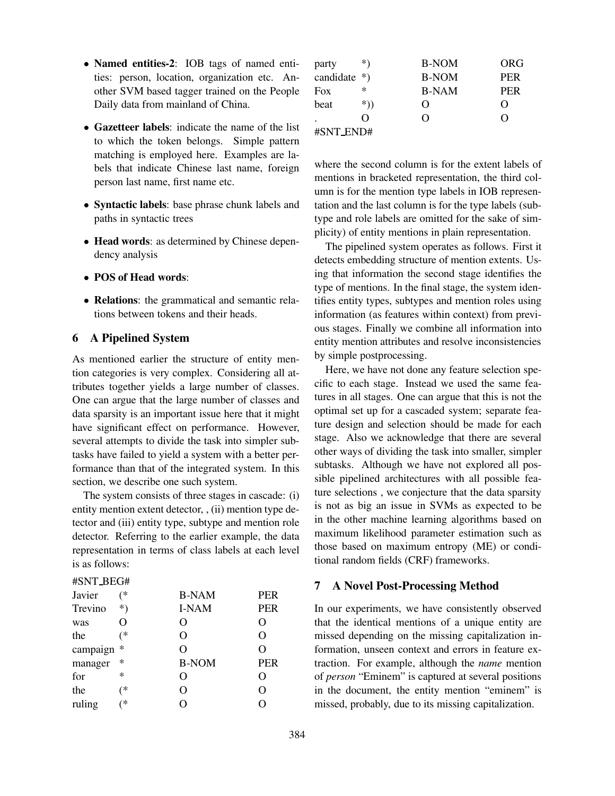- **Named entities-2**: IOB tags of named entities: person, location, organization etc. Another SVM based tagger trained on the People Daily data from mainland of China.
- **Gazetteer labels**: indicate the name of the list to which the token belongs. Simple pattern matching is employed here. Examples are labels that indicate Chinese last name, foreign person last name, first name etc.
- **Syntactic labels**: base phrase chunk labels and paths in syntactic trees
- **Head words**: as determined by Chinese dependency analysis
- **POS of Head words**:
- **Relations**: the grammatical and semantic relations between tokens and their heads.

### **6 A Pipelined System**

As mentioned earlier the structure of entity mention categories is very complex. Considering all attributes together yields a large number of classes. One can argue that the large number of classes and data sparsity is an important issue here that it might have significant effect on performance. However, several attempts to divide the task into simpler subtasks have failed to yield a system with a better performance than that of the integrated system. In this section, we describe one such system.

The system consists of three stages in cascade: (i) entity mention extent detector, , (ii) mention type detector and (iii) entity type, subtype and mention role detector. Referring to the earlier example, the data representation in terms of class labels at each level is as follows:

#### #SNT BEG#

| Javier   | (*    | <b>B-NAM</b>      | <b>PER</b> |
|----------|-------|-------------------|------------|
| Trevino  | $^*)$ | I-NAM             | <b>PER</b> |
| was      | 0     | $\mathbf{\Omega}$ |            |
| the      | (*    | O                 |            |
| campaign | *     | O                 |            |
| manager  | *     | <b>B-NOM</b>      | <b>PER</b> |
| for      | *     | O                 | 0          |
| the      | (*    | O                 | 0          |
| ruling   | (*    |                   |            |

| party          | $^{*}$    | <b>B-NOM</b>       | ORG                |
|----------------|-----------|--------------------|--------------------|
| candidate $*)$ |           | <b>B-NOM</b>       | <b>PER</b>         |
| Fox            | $^{\ast}$ | <b>B-NAM</b>       | <b>PER</b>         |
| beat           | $*)$      | $\left( \ \right)$ | $\left( \ \right)$ |
|                | 0         | $\left( \ \right)$ | $\left( \right)$   |
| #SNT_END#      |           |                    |                    |

where the second column is for the extent labels of mentions in bracketed representation, the third column is for the mention type labels in IOB representation and the last column is for the type labels (subtype and role labels are omitted for the sake of simplicity) of entity mentions in plain representation.

The pipelined system operates as follows. First it detects embedding structure of mention extents. Using that information the second stage identifies the type of mentions. In the final stage, the system identifies entity types, subtypes and mention roles using information (as features within context) from previous stages. Finally we combine all information into entity mention attributes and resolve inconsistencies by simple postprocessing.

Here, we have not done any feature selection specific to each stage. Instead we used the same features in all stages. One can argue that this is not the optimal set up for a cascaded system; separate feature design and selection should be made for each stage. Also we acknowledge that there are several other ways of dividing the task into smaller, simpler subtasks. Although we have not explored all possible pipelined architectures with all possible feature selections , we conjecture that the data sparsity is not as big an issue in SVMs as expected to be in the other machine learning algorithms based on maximum likelihood parameter estimation such as those based on maximum entropy (ME) or conditional random fields (CRF) frameworks.

### **7 A Novel Post-Processing Method**

In our experiments, we have consistently observed that the identical mentions of a unique entity are missed depending on the missing capitalization information, unseen context and errors in feature extraction. For example, although the *name* mention of *person* "Eminem" is captured at several positions in the document, the entity mention "eminem" is missed, probably, due to its missing capitalization.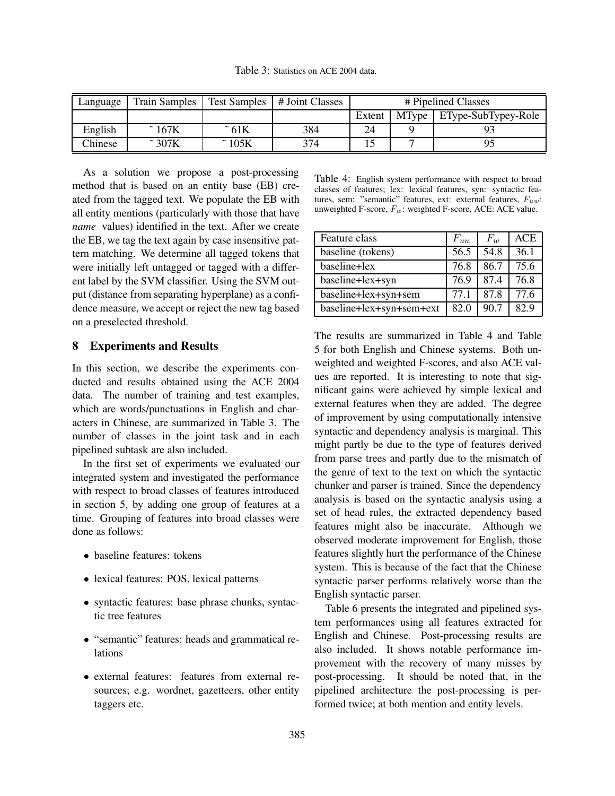Table 3: Statistics on ACE 2004 data.

| Language       | <b>Train Samples</b>       | Test Samples      | # Joint Classes | # Pipelined Classes |  |                             |
|----------------|----------------------------|-------------------|-----------------|---------------------|--|-----------------------------|
|                |                            |                   |                 | Extent              |  | MType   EType-SubTypey-Role |
| English        | $\tilde{\phantom{1}}$ 167K | ~ 61K             | 384             | 24                  |  |                             |
| <b>Chinese</b> | $\approx$ 307K             | $\tilde{ }}$ 105K | 374             |                     |  |                             |

As a solution we propose a post-processing method that is based on an entity base (EB) created from the tagged text. We populate the EB with all entity mentions (particularly with those that have *name* values) identified in the text. After we create the EB, we tag the text again by case insensitive pattern matching. We determine all tagged tokens that were initially left untagged or tagged with a different label by the SVM classifier. Using the SVM output (distance from separating hyperplane) as a confidence measure, we accept or reject the new tag based on a preselected threshold.

#### **8 Experiments and Results**

In this section, we describe the experiments conducted and results obtained using the ACE 2004 data. The number of training and test examples, which are words/punctuations in English and characters in Chinese, are summarized in Table 3. The number of classes in the joint task and in each pipelined subtask are also included.

In the first set of experiments we evaluated our integrated system and investigated the performance with respect to broad classes of features introduced in section 5, by adding one group of features at a time. Grouping of features into broad classes were done as follows:

- baseline features: tokens
- lexical features: POS, lexical patterns
- syntactic features: base phrase chunks, syntactic tree features
- "semantic" features: heads and grammatical relations
- external features: features from external resources; e.g. wordnet, gazetteers, other entity taggers etc.

Table 4: English system performance with respect to broad classes of features; lex: lexical features, syn: syntactic features, sem: "semantic" features, ext: external features,  $F_{uw}$ : unweighted F-score,  $F_w$ : weighted F-score, ACE: ACE value.

| Feature class            | $F_{uw}$ | $F_{w}$ | ACE  |
|--------------------------|----------|---------|------|
| baseline (tokens)        | 56.5     | 54.8    | 36.1 |
| baseline+lex             | 76.8     | 86.7    | 75.6 |
| baseline+lex+syn         | 76.9     | 87.4    | 76.8 |
| baseline+lex+syn+sem     | 77.1     | 87.8    | 77.6 |
| baseline+lex+syn+sem+ext | 82.0     | 90.7    | 82.9 |

The results are summarized in Table 4 and Table 5 for both English and Chinese systems. Both unweighted and weighted F-scores, and also ACE values are reported. It is interesting to note that significant gains were achieved by simple lexical and external features when they are added. The degree of improvement by using computationally intensive syntactic and dependency analysis is marginal. This might partly be due to the type of features derived from parse trees and partly due to the mismatch of the genre of text to the text on which the syntactic chunker and parser is trained. Since the dependency analysis is based on the syntactic analysis using a set of head rules, the extracted dependency based features might also be inaccurate. Although we observed moderate improvement for English, those features slightly hurt the performance of the Chinese system. This is because of the fact that the Chinese syntactic parser performs relatively worse than the English syntactic parser.

Table 6 presents the integrated and pipelined system performances using all features extracted for English and Chinese. Post-processing results are also included. It shows notable performance improvement with the recovery of many misses by post-processing. It should be noted that, in the pipelined architecture the post-processing is performed twice; at both mention and entity levels.